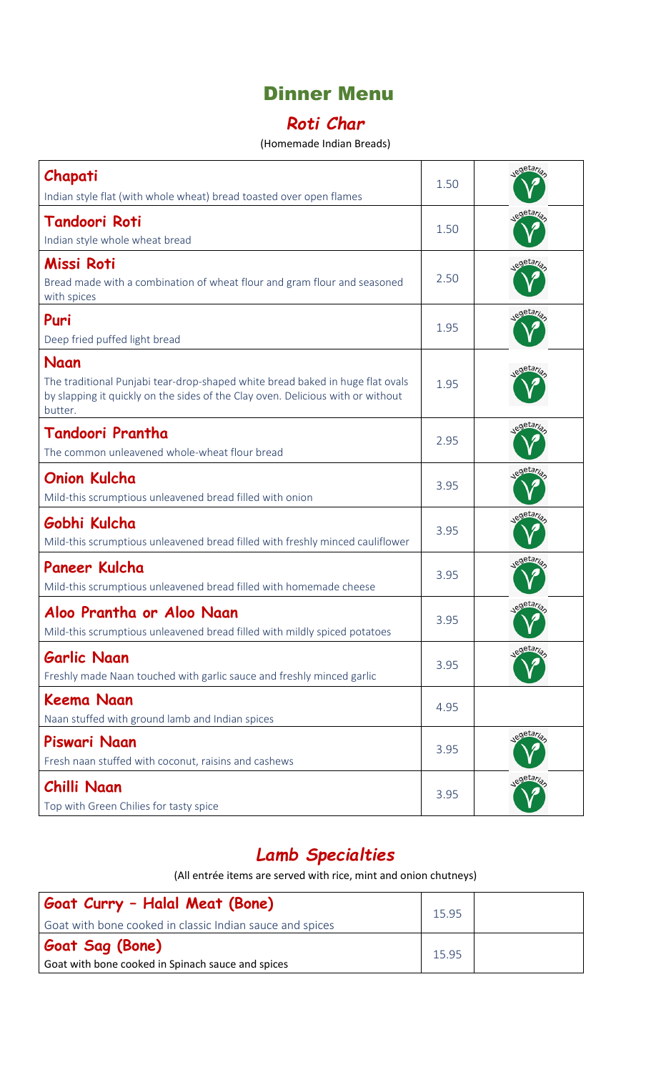#### Dinner Menu

#### *Roti Char*

#### (Homemade Indian Breads)

| Chapati<br>Indian style flat (with whole wheat) bread toasted over open flames                                                                                                      | 1.50 | egetaria                         |
|-------------------------------------------------------------------------------------------------------------------------------------------------------------------------------------|------|----------------------------------|
| <b>Tandoori Roti</b><br>Indian style whole wheat bread                                                                                                                              | 1.50 | legetaria                        |
| Missi Roti<br>Bread made with a combination of wheat flour and gram flour and seasoned<br>with spices                                                                               | 2.50 | egetaria                         |
| Puri<br>Deep fried puffed light bread                                                                                                                                               | 1.95 | egetaria                         |
| Naan<br>The traditional Punjabi tear-drop-shaped white bread baked in huge flat ovals<br>by slapping it quickly on the sides of the Clay oven. Delicious with or without<br>butter. | 1.95 | <sub>o</sub> etari               |
| Tandoori Prantha<br>The common unleavened whole-wheat flour bread                                                                                                                   | 2.95 | egetaria                         |
| <b>Onion Kulcha</b><br>Mild-this scrumptious unleavened bread filled with onion                                                                                                     | 3.95 | egetaria                         |
| Gobhi Kulcha<br>Mild-this scrumptious unleavened bread filled with freshly minced cauliflower                                                                                       | 3.95 | egetaria                         |
| Paneer Kulcha<br>Mild-this scrumptious unleavened bread filled with homemade cheese                                                                                                 | 3.95 | <sub>e</sub> getari <sub>a</sub> |
| Aloo Prantha or Aloo Naan<br>Mild-this scrumptious unleavened bread filled with mildly spiced potatoes                                                                              | 3.95 | egetaria                         |
| <b>Garlic Naan</b><br>Freshly made Naan touched with garlic sauce and freshly minced garlic                                                                                         | 3.95 | egetaria                         |
| <b>Keema Naan</b><br>Naan stuffed with ground lamb and Indian spices                                                                                                                | 4.95 |                                  |
| Piswari Naan<br>Fresh naan stuffed with coconut, raisins and cashews                                                                                                                | 3.95 | egetaria                         |
| Chilli Naan<br>Top with Green Chilies for tasty spice                                                                                                                               | 3.95 | egetaria                         |

#### *Lamb Specialties*

(All entrée items are served with rice, mint and onion chutneys)

| Goat Curry - Halal Meat (Bone)                           | 15.95 |  |
|----------------------------------------------------------|-------|--|
| Goat with bone cooked in classic Indian sauce and spices |       |  |
| <b>Goat Sag (Bone)</b>                                   | 15.95 |  |
| Goat with bone cooked in Spinach sauce and spices        |       |  |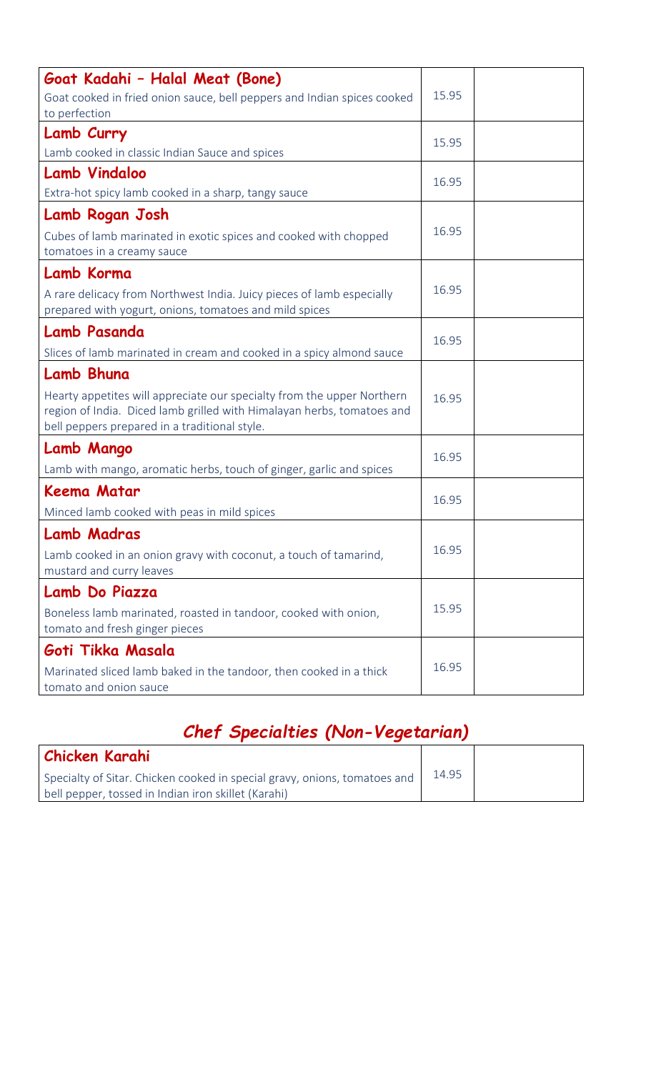| Goat Kadahi - Halal Meat (Bone)<br>Goat cooked in fried onion sauce, bell peppers and Indian spices cooked                                                                                                      | 15.95 |  |
|-----------------------------------------------------------------------------------------------------------------------------------------------------------------------------------------------------------------|-------|--|
| to perfection<br>Lamb Curry<br>Lamb cooked in classic Indian Sauce and spices                                                                                                                                   | 15.95 |  |
| <b>Lamb Vindaloo</b><br>Extra-hot spicy lamb cooked in a sharp, tangy sauce                                                                                                                                     | 16.95 |  |
| Lamb Rogan Josh<br>Cubes of lamb marinated in exotic spices and cooked with chopped<br>tomatoes in a creamy sauce                                                                                               | 16.95 |  |
| Lamb Korma<br>A rare delicacy from Northwest India. Juicy pieces of lamb especially<br>prepared with yogurt, onions, tomatoes and mild spices                                                                   | 16.95 |  |
| <b>Lamb Pasanda</b><br>Slices of lamb marinated in cream and cooked in a spicy almond sauce                                                                                                                     | 16.95 |  |
| Lamb Bhuna<br>Hearty appetites will appreciate our specialty from the upper Northern<br>region of India. Diced lamb grilled with Himalayan herbs, tomatoes and<br>bell peppers prepared in a traditional style. | 16.95 |  |
| Lamb Mango<br>Lamb with mango, aromatic herbs, touch of ginger, garlic and spices                                                                                                                               | 16.95 |  |
| Keema Matar<br>Minced lamb cooked with peas in mild spices                                                                                                                                                      | 16.95 |  |
| <b>Lamb Madras</b><br>Lamb cooked in an onion gravy with coconut, a touch of tamarind,<br>mustard and curry leaves                                                                                              | 16.95 |  |
| Lamb Do Piazza<br>Boneless lamb marinated, roasted in tandoor, cooked with onion,<br>tomato and fresh ginger pieces                                                                                             | 15.95 |  |
| Goti Tikka Masala<br>Marinated sliced lamb baked in the tandoor, then cooked in a thick<br>tomato and onion sauce                                                                                               | 16.95 |  |

# *Chef Specialties (Non-Vegetarian)*

| Chicken Karahi                                                            |       |  |
|---------------------------------------------------------------------------|-------|--|
| Specialty of Sitar. Chicken cooked in special gravy, onions, tomatoes and | 14.95 |  |
| bell pepper, tossed in Indian iron skillet (Karahi)                       |       |  |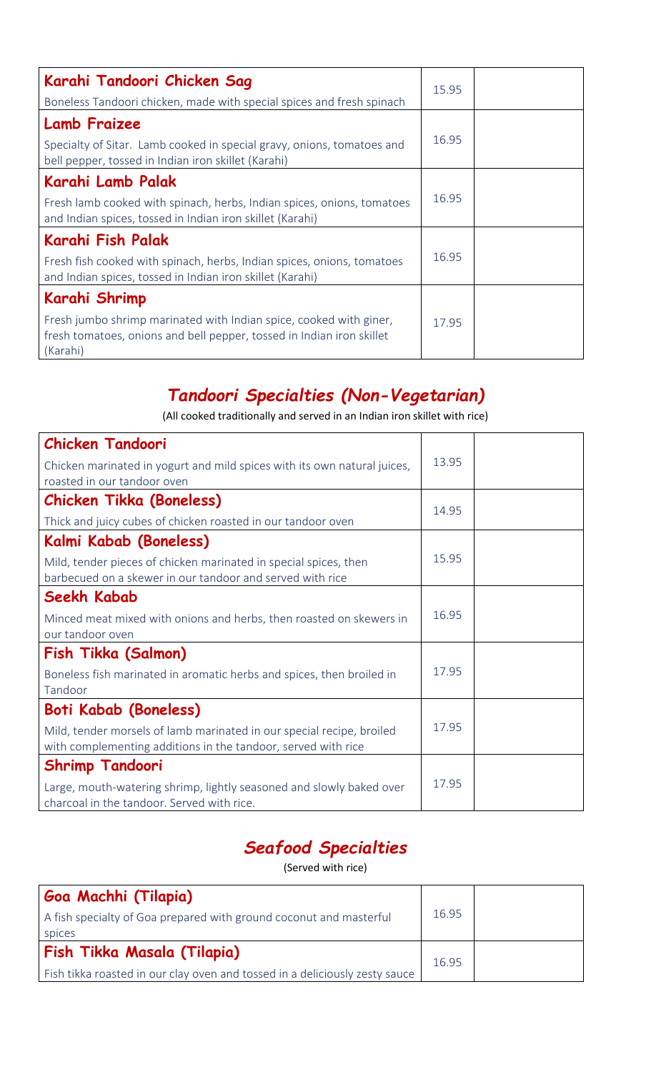| Karahi Tandoori Chicken Sag                                                                                                                             | 15.95 |  |
|---------------------------------------------------------------------------------------------------------------------------------------------------------|-------|--|
| Boneless Tandoori chicken, made with special spices and fresh spinach                                                                                   |       |  |
| <b>Lamb Fraizee</b>                                                                                                                                     |       |  |
| Specialty of Sitar. Lamb cooked in special gravy, onions, tomatoes and<br>bell pepper, tossed in Indian iron skillet (Karahi)                           | 16.95 |  |
| Karahi Lamb Palak                                                                                                                                       |       |  |
| Fresh lamb cooked with spinach, herbs, Indian spices, onions, tomatoes<br>and Indian spices, tossed in Indian iron skillet (Karahi)                     | 16.95 |  |
| Karahi Fish Palak                                                                                                                                       |       |  |
| Fresh fish cooked with spinach, herbs, Indian spices, onions, tomatoes<br>and Indian spices, tossed in Indian iron skillet (Karahi)                     | 16.95 |  |
| Karahi Shrimp                                                                                                                                           |       |  |
| Fresh jumbo shrimp marinated with Indian spice, cooked with giner,<br>fresh tomatoes, onions and bell pepper, tossed in Indian iron skillet<br>(Karahi) | 17.95 |  |

#### *Tandoori Specialties (Non-Vegetarian)*

(All cooked traditionally and served in an Indian iron skillet with rice)

| <b>Chicken Tandoori</b>                                                                                            |       |  |
|--------------------------------------------------------------------------------------------------------------------|-------|--|
| Chicken marinated in yogurt and mild spices with its own natural juices,                                           | 13.95 |  |
| roasted in our tandoor oven                                                                                        |       |  |
| <b>Chicken Tikka (Boneless)</b>                                                                                    | 14.95 |  |
| Thick and juicy cubes of chicken roasted in our tandoor oven                                                       |       |  |
| Kalmi Kabab (Boneless)                                                                                             |       |  |
| Mild, tender pieces of chicken marinated in special spices, then                                                   | 15.95 |  |
| barbecued on a skewer in our tandoor and served with rice                                                          |       |  |
| Seekh Kabab                                                                                                        |       |  |
| Minced meat mixed with onions and herbs, then roasted on skewers in                                                | 16.95 |  |
| our tandoor oven                                                                                                   |       |  |
| Fish Tikka (Salmon)                                                                                                |       |  |
| Boneless fish marinated in aromatic herbs and spices, then broiled in                                              | 17.95 |  |
| Tandoor                                                                                                            |       |  |
| <b>Boti Kabab (Boneless)</b>                                                                                       |       |  |
| Mild, tender morsels of lamb marinated in our special recipe, broiled                                              | 17.95 |  |
| with complementing additions in the tandoor, served with rice                                                      |       |  |
| <b>Shrimp Tandoori</b>                                                                                             |       |  |
| Large, mouth-watering shrimp, lightly seasoned and slowly baked over<br>charcoal in the tandoor. Served with rice. | 17.95 |  |

#### *Seafood Specialties*

(Served with rice)

| Goa Machhi (Tilapia)                                                        |       |  |
|-----------------------------------------------------------------------------|-------|--|
| A fish specialty of Goa prepared with ground coconut and masterful          | 16.95 |  |
| spices                                                                      |       |  |
| Fish Tikka Masala (Tilapia)                                                 | 16.95 |  |
| Fish tikka roasted in our clay oven and tossed in a deliciously zesty sauce |       |  |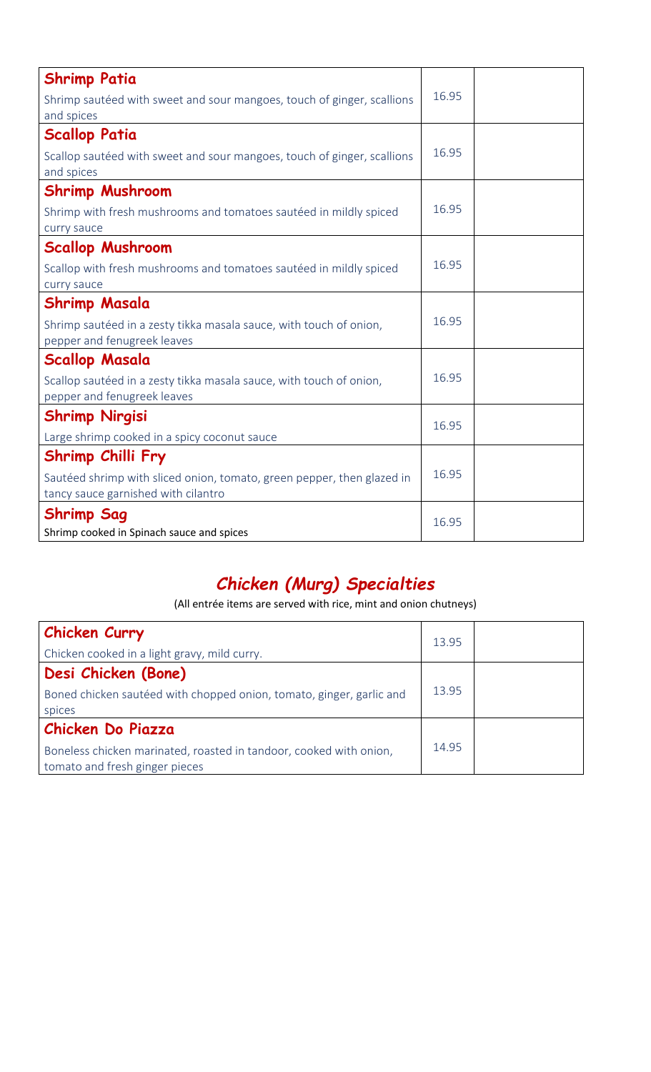| <b>Shrimp Patia</b>                                                                                |       |  |
|----------------------------------------------------------------------------------------------------|-------|--|
| Shrimp sautéed with sweet and sour mangoes, touch of ginger, scallions<br>and spices               | 16.95 |  |
| <b>Scallop Patia</b>                                                                               |       |  |
| Scallop sautéed with sweet and sour mangoes, touch of ginger, scallions<br>and spices              | 16.95 |  |
| <b>Shrimp Mushroom</b>                                                                             |       |  |
| Shrimp with fresh mushrooms and tomatoes sautéed in mildly spiced<br>curry sauce                   | 16.95 |  |
| <b>Scallop Mushroom</b>                                                                            |       |  |
| Scallop with fresh mushrooms and tomatoes sautéed in mildly spiced<br>curry sauce                  | 16.95 |  |
| <b>Shrimp Masala</b>                                                                               |       |  |
| Shrimp sautéed in a zesty tikka masala sauce, with touch of onion,<br>pepper and fenugreek leaves  | 16.95 |  |
| <b>Scallop Masala</b>                                                                              |       |  |
| Scallop sautéed in a zesty tikka masala sauce, with touch of onion,<br>pepper and fenugreek leaves | 16.95 |  |
| <b>Shrimp Nirgisi</b>                                                                              | 16.95 |  |
| Large shrimp cooked in a spicy coconut sauce                                                       |       |  |
| Shrimp Chilli Fry                                                                                  |       |  |
| Sautéed shrimp with sliced onion, tomato, green pepper, then glazed in                             | 16.95 |  |
| tancy sauce garnished with cilantro                                                                |       |  |
| <b>Shrimp Sag</b>                                                                                  | 16.95 |  |
| Shrimp cooked in Spinach sauce and spices                                                          |       |  |

#### *Chicken (Murg) Specialties*

(All entrée items are served with rice, mint and onion chutneys)

| Chicken Curry                                                        | 13.95 |  |
|----------------------------------------------------------------------|-------|--|
| Chicken cooked in a light gravy, mild curry.                         |       |  |
| Desi Chicken (Bone)                                                  |       |  |
| Boned chicken sautéed with chopped onion, tomato, ginger, garlic and | 13.95 |  |
| spices                                                               |       |  |
| Chicken Do Piazza                                                    |       |  |
| Boneless chicken marinated, roasted in tandoor, cooked with onion,   | 14.95 |  |
| tomato and fresh ginger pieces                                       |       |  |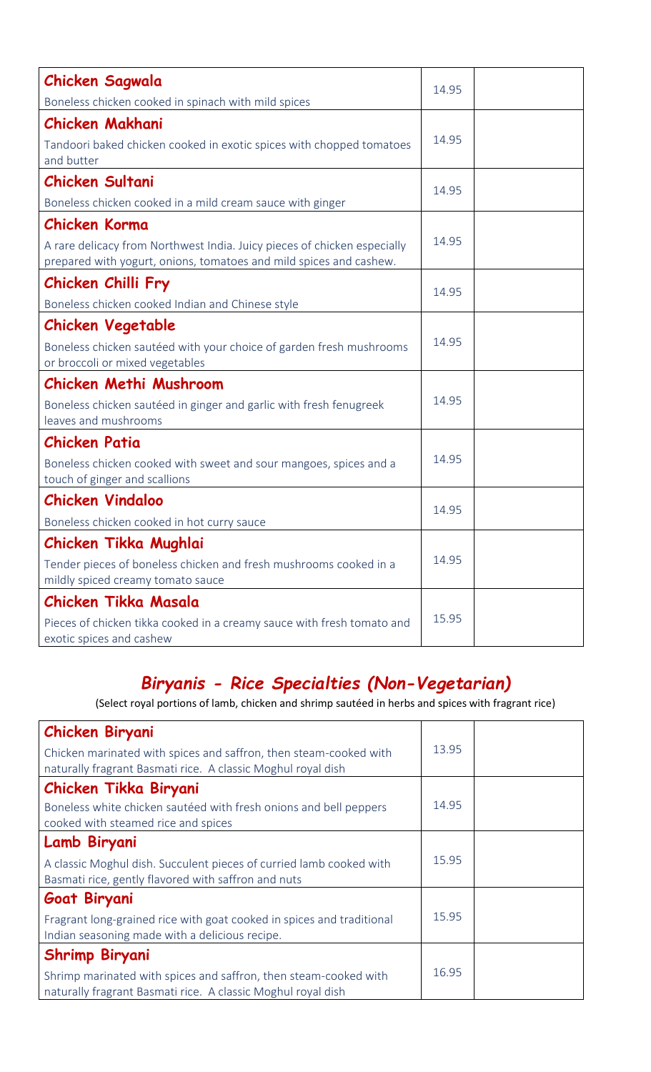| <b>Chicken Sagwala</b>                                                                                                                                                 | 14.95 |  |
|------------------------------------------------------------------------------------------------------------------------------------------------------------------------|-------|--|
| Boneless chicken cooked in spinach with mild spices                                                                                                                    |       |  |
| <b>Chicken Makhani</b><br>Tandoori baked chicken cooked in exotic spices with chopped tomatoes<br>and butter                                                           | 14.95 |  |
| <b>Chicken Sultani</b><br>Boneless chicken cooked in a mild cream sauce with ginger                                                                                    | 14.95 |  |
| <b>Chicken Korma</b><br>A rare delicacy from Northwest India. Juicy pieces of chicken especially<br>prepared with yogurt, onions, tomatoes and mild spices and cashew. | 14.95 |  |
| Chicken Chilli Fry<br>Boneless chicken cooked Indian and Chinese style                                                                                                 | 14.95 |  |
| <b>Chicken Vegetable</b><br>Boneless chicken sautéed with your choice of garden fresh mushrooms<br>or broccoli or mixed vegetables                                     | 14.95 |  |
| <b>Chicken Methi Mushroom</b><br>Boneless chicken sautéed in ginger and garlic with fresh fenugreek<br>leaves and mushrooms                                            | 14.95 |  |
| <b>Chicken Patia</b><br>Boneless chicken cooked with sweet and sour mangoes, spices and a<br>touch of ginger and scallions                                             | 14.95 |  |
| <b>Chicken Vindaloo</b><br>Boneless chicken cooked in hot curry sauce                                                                                                  | 14.95 |  |
| Chicken Tikka Mughlai<br>Tender pieces of boneless chicken and fresh mushrooms cooked in a<br>mildly spiced creamy tomato sauce                                        | 14.95 |  |
| <b>Chicken Tikka Masala</b><br>Pieces of chicken tikka cooked in a creamy sauce with fresh tomato and<br>exotic spices and cashew                                      | 15.95 |  |

## *Biryanis - Rice Specialties (Non-Vegetarian)*

(Select royal portions of lamb, chicken and shrimp sautéed in herbs and spices with fragrant rice)

| Chicken Biryani                                                                                                                  |       |  |
|----------------------------------------------------------------------------------------------------------------------------------|-------|--|
| Chicken marinated with spices and saffron, then steam-cooked with                                                                | 13.95 |  |
| naturally fragrant Basmati rice. A classic Moghul royal dish                                                                     |       |  |
| Chicken Tikka Biryani                                                                                                            |       |  |
| Boneless white chicken sautéed with fresh onions and bell peppers<br>cooked with steamed rice and spices                         | 14.95 |  |
| Lamb Biryani                                                                                                                     |       |  |
| A classic Moghul dish. Succulent pieces of curried lamb cooked with<br>Basmati rice, gently flavored with saffron and nuts       | 15.95 |  |
| Goat Biryani                                                                                                                     |       |  |
| Fragrant long-grained rice with goat cooked in spices and traditional                                                            | 15.95 |  |
| Indian seasoning made with a delicious recipe.                                                                                   |       |  |
| <b>Shrimp Biryani</b>                                                                                                            |       |  |
| Shrimp marinated with spices and saffron, then steam-cooked with<br>naturally fragrant Basmati rice. A classic Moghul royal dish | 16.95 |  |